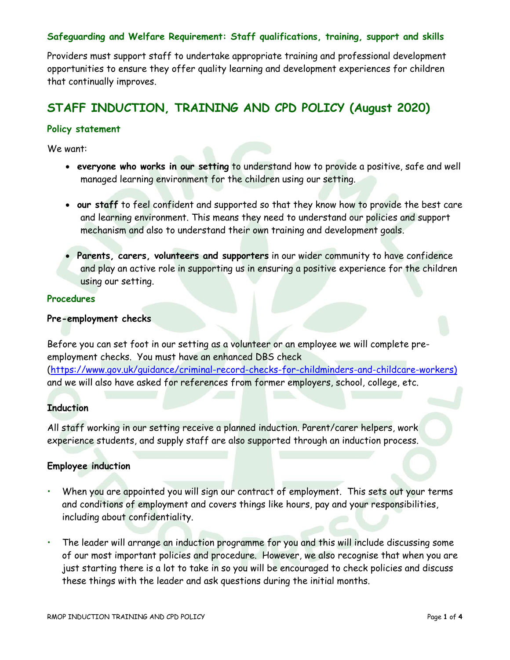## **Safeguarding and Welfare Requirement: Staff qualifications, training, support and skills**

Providers must support staff to undertake appropriate training and professional development opportunities to ensure they offer quality learning and development experiences for children that continually improves.

# **STAFF INDUCTION, TRAINING AND CPD POLICY (August 2020)**

#### **Policy statement**

We want:

- **everyone who works in our setting** to understand how to provide a positive, safe and well managed learning environment for the children using our setting.
- **our staff** to feel confident and supported so that they know how to provide the best care and learning environment. This means they need to understand our policies and support mechanism and also to understand their own training and development goals.
- **Parents, carers, volunteers and supporters** in our wider community to have confidence and play an active role in supporting us in ensuring a positive experience for the children using our setting.

#### **Procedures**

#### **Pre-employment checks**

Before you can set foot in our setting as a volunteer or an employee we will complete preemployment checks. You must have an enhanced DBS check [\(https://www.gov.uk/guidance/criminal-record-checks-for-childminders-and-childcare-workers\)](https://www.gov.uk/guidance/criminal-record-checks-for-childminders-and-childcare-workers))  and we will also have asked for references from former employers, school, college, etc.

#### **Induction**

All staff working in our setting receive a planned induction. Parent/carer helpers, work experience students, and supply staff are also supported through an induction process.

## **Employee induction**

- When you are appointed you will sign our contract of employment. This sets out your terms and conditions of employment and covers things like hours, pay and your responsibilities, including about confidentiality.
- The leader will arrange an induction programme for you and this will include discussing some of our most important policies and procedure. However, we also recognise that when you are just starting there is a lot to take in so you will be encouraged to check policies and discuss these things with the leader and ask questions during the initial months.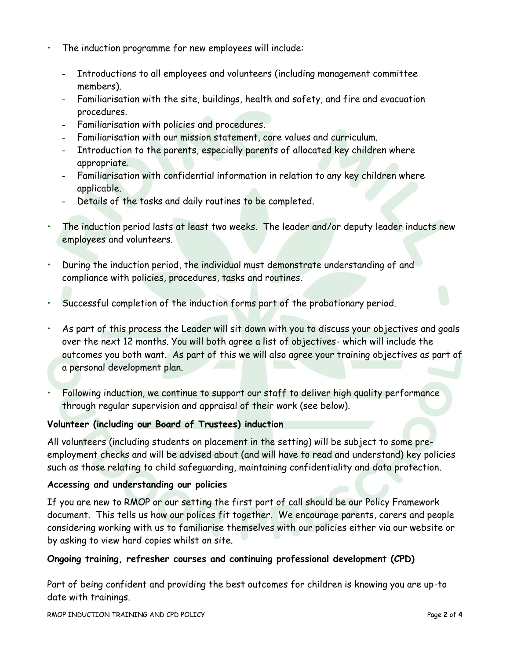- The induction programme for new employees will include:
	- **-** Introductions to all employees and volunteers (including management committee members).
	- **-** Familiarisation with the site, buildings, health and safety, and fire and evacuation procedures.
	- **-** Familiarisation with policies and procedures.
	- **-** Familiarisation with our mission statement, core values and curriculum.
	- **-** Introduction to the parents, especially parents of allocated key children where appropriate.
	- **-** Familiarisation with confidential information in relation to any key children where applicable.
	- **-** Details of the tasks and daily routines to be completed.
- The induction period lasts at least two weeks. The leader and/or deputy leader inducts new employees and volunteers.
- During the induction period, the individual must demonstrate understanding of and compliance with policies, procedures, tasks and routines.
- Successful completion of the induction forms part of the probationary period.
- As part of this process the Leader will sit down with you to discuss your objectives and goals over the next 12 months. You will both agree a list of objectives- which will include the outcomes you both want. As part of this we will also agree your training objectives as part of a personal development plan.
- Following induction, we continue to support our staff to deliver high quality performance through regular supervision and appraisal of their work (see below).

# **Volunteer (including our Board of Trustees) induction**

All volunteers (including students on placement in the setting) will be subject to some preemployment checks and will be advised about (and will have to read and understand) key policies such as those relating to child safeguarding, maintaining confidentiality and data protection.

# **Accessing and understanding our policies**

If you are new to RMOP or our setting the first port of call should be our Policy Framework document. This tells us how our polices fit together. We encourage parents, carers and people considering working with us to familiarise themselves with our policies either via our website or by asking to view hard copies whilst on site.

# **Ongoing training, refresher courses and continuing professional development (CPD)**

Part of being confident and providing the best outcomes for children is knowing you are up-to date with trainings.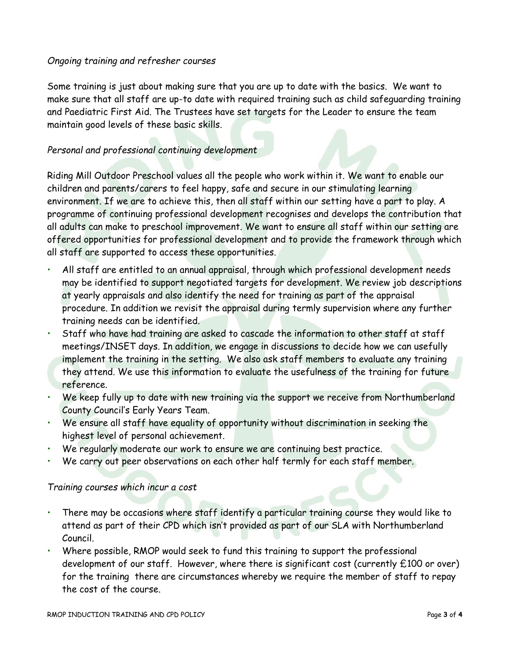## *Ongoing training and refresher courses*

Some training is just about making sure that you are up to date with the basics. We want to make sure that all staff are up-to date with required training such as child safeguarding training and Paediatric First Aid. The Trustees have set targets for the Leader to ensure the team maintain good levels of these basic skills.

# *Personal and professional continuing development*

Riding Mill Outdoor Preschool values all the people who work within it. We want to enable our children and parents/carers to feel happy, safe and secure in our stimulating learning environment. If we are to achieve this, then all staff within our setting have a part to play. A programme of continuing professional development recognises and develops the contribution that all adults can make to preschool improvement. We want to ensure all staff within our setting are offered opportunities for professional development and to provide the framework through which all staff are supported to access these opportunities.

- All staff are entitled to an annual appraisal, through which professional development needs may be identified to support negotiated targets for development. We review job descriptions at yearly appraisals and also identify the need for training as part of the appraisal procedure. In addition we revisit the appraisal during termly supervision where any further training needs can be identified.
- Staff who have had training are asked to cascade the information to other staff at staff meetings/INSET days. In addition, we engage in discussions to decide how we can usefully implement the training in the setting. We also ask staff members to evaluate any training they attend. We use this information to evaluate the usefulness of the training for future reference.
- We keep fully up to date with new training via the support we receive from Northumberland County Council's Early Years Team.
- We ensure all staff have equality of opportunity without discrimination in seeking the highest level of personal achievement.
- We regularly moderate our work to ensure we are continuing best practice.
- We carry out peer observations on each other half termly for each staff member.

#### *Training courses which incur a cost*

- There may be occasions where staff identify a particular training course they would like to attend as part of their CPD which isn't provided as part of our SLA with Northumberland Council.
- Where possible, RMOP would seek to fund this training to support the professional development of our staff. However, where there is significant cost (currently £100 or over) for the training there are circumstances whereby we require the member of staff to repay the cost of the course.